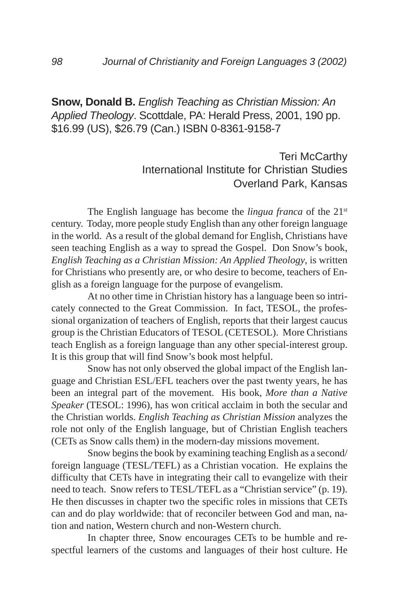## **Snow, Donald B.** *English Teaching as Christian Mission: An Applied Theology*. Scottdale, PA: Herald Press, 2001, 190 pp. \$16.99 (US), \$26.79 (Can.) ISBN 0-8361-9158-7

## Teri McCarthy International Institute for Christian Studies Overland Park, Kansas

The English language has become the *lingua franca* of the 21<sup>st</sup> century. Today, more people study English than any other foreign language in the world. As a result of the global demand for English, Christians have seen teaching English as a way to spread the Gospel. Don Snow's book, *English Teaching as a Christian Mission: An Applied Theology*, is written for Christians who presently are, or who desire to become, teachers of English as a foreign language for the purpose of evangelism.

At no other time in Christian history has a language been so intricately connected to the Great Commission. In fact, TESOL, the professional organization of teachers of English, reports that their largest caucus group is the Christian Educators of TESOL (CETESOL). More Christians teach English as a foreign language than any other special-interest group. It is this group that will find Snow's book most helpful.

Snow has not only observed the global impact of the English language and Christian ESL/EFL teachers over the past twenty years, he has been an integral part of the movement. His book, *More than a Native Speaker* (TESOL: 1996), has won critical acclaim in both the secular and the Christian worlds. *English Teaching as Christian Mission* analyzes the role not only of the English language, but of Christian English teachers (CETs as Snow calls them) in the modern-day missions movement.

Snow begins the book by examining teaching English as a second/ foreign language (TESL/TEFL) as a Christian vocation. He explains the difficulty that CETs have in integrating their call to evangelize with their need to teach. Snow refers to TESL/TEFL as a "Christian service" (p. 19). He then discusses in chapter two the specific roles in missions that CETs can and do play worldwide: that of reconciler between God and man, nation and nation, Western church and non-Western church.

In chapter three, Snow encourages CETs to be humble and respectful learners of the customs and languages of their host culture. He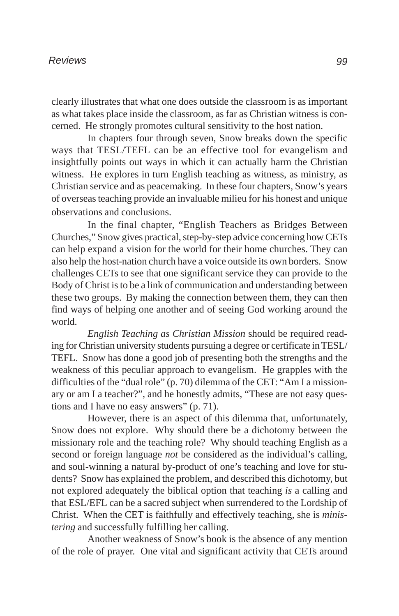clearly illustrates that what one does outside the classroom is as important as what takes place inside the classroom, as far as Christian witness is concerned. He strongly promotes cultural sensitivity to the host nation.

In chapters four through seven, Snow breaks down the specific ways that TESL/TEFL can be an effective tool for evangelism and insightfully points out ways in which it can actually harm the Christian witness. He explores in turn English teaching as witness, as ministry, as Christian service and as peacemaking. In these four chapters, Snow's years of overseas teaching provide an invaluable milieu for his honest and unique observations and conclusions.

In the final chapter, "English Teachers as Bridges Between Churches," Snow gives practical, step-by-step advice concerning how CETs can help expand a vision for the world for their home churches. They can also help the host-nation church have a voice outside its own borders. Snow challenges CETs to see that one significant service they can provide to the Body of Christ is to be a link of communication and understanding between these two groups. By making the connection between them, they can then find ways of helping one another and of seeing God working around the world.

*English Teaching as Christian Mission* should be required reading for Christian university students pursuing a degree or certificate in TESL/ TEFL. Snow has done a good job of presenting both the strengths and the weakness of this peculiar approach to evangelism. He grapples with the difficulties of the "dual role" (p. 70) dilemma of the CET: "Am I a missionary or am I a teacher?", and he honestly admits, "These are not easy questions and I have no easy answers" (p. 71).

However, there is an aspect of this dilemma that, unfortunately, Snow does not explore. Why should there be a dichotomy between the missionary role and the teaching role? Why should teaching English as a second or foreign language *not* be considered as the individual's calling, and soul-winning a natural by-product of one's teaching and love for students? Snow has explained the problem, and described this dichotomy, but not explored adequately the biblical option that teaching *is* a calling and that ESL/EFL can be a sacred subject when surrendered to the Lordship of Christ. When the CET is faithfully and effectively teaching, she is *ministering* and successfully fulfilling her calling.

Another weakness of Snow's book is the absence of any mention of the role of prayer. One vital and significant activity that CETs around